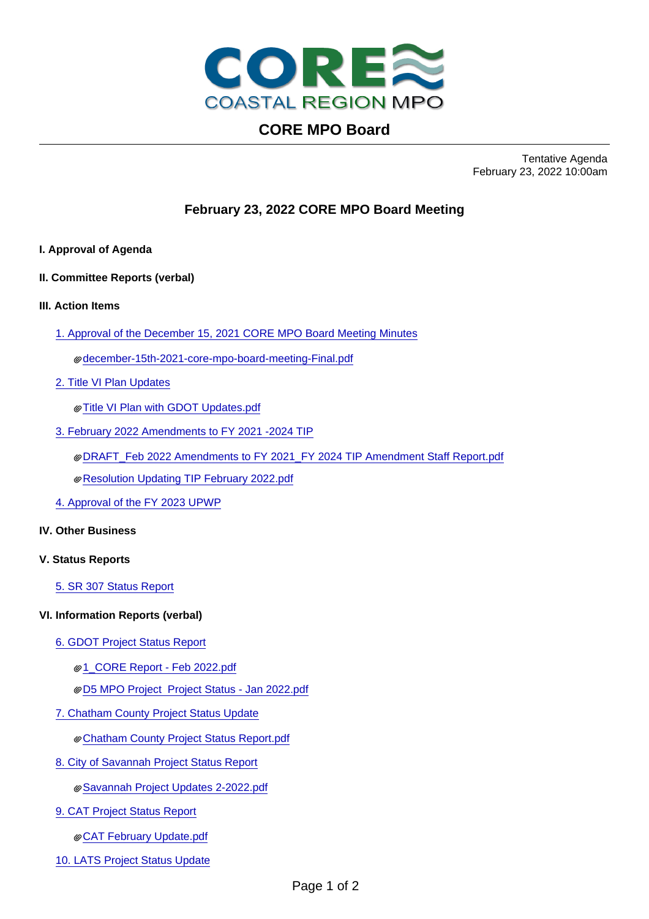

# **CORE MPO Board**

Tentative Agenda February 23, 2022 10:00am

## **February 23, 2022 CORE MPO Board Meeting**

- **I. Approval of Agenda**
- **II. Committee Reports (verbal)**
- **III. Action Items**
	- [1. Approval of the December 15, 2021 CORE MPO Board Meeting Minutes](3661_21388.pdf)

[december-15th-2021-core-mpo-board-meeting-Final.pdf](december-15th-2021-core-mpo-board-meeting-final.pdf)

- [2. Title VI Plan Updates](3661_22469.pdf)
	- [Title VI Plan with GDOT Updates.pdf](final_update_title-vi-plan-final-draft-update-2021_final_real_draft-002_5.pdf)
- [3. February 2022 Amendments to FY 2021 -2024 TIP](3661_22555.pdf)
	- [DRAFT\\_Feb 2022 Amendments to FY 2021\\_FY 2024 TIP Amendment Staff Report.pdf](draft_feb-2022-amendments-to-fy-2021_fy-2024-tip-amendment-staff-report_10.pdf)
	- [Resolution Updating TIP February 2022.pdf](resolution-updating-tip-february-2022_2.pdf)
- [4. Approval of the FY 2023 UPWP](3661_22589.pdf)

#### **IV. Other Business**

#### **V. Status Reports**

[5. SR 307 Status Report](3661_22591.pdf)

#### **VI. Information Reports (verbal)**

- [6. GDOT Project Status Report](3661_22510.pdf)
	- [1\\_CORE Report Feb 2022.pdf](1_core-report-feb-2022_1.pdf)
	- [D5 MPO Project Project Status Jan 2022.pdf](d5-mpo-project-project-status-jan-2022_1.pdf)
- [7. Chatham County Project Status Update](3661_22518.pdf)
	- [Chatham County Project Status Report.pdf](chatham-county-project-status-report_9.pdf)
- [8. City of Savannah Project Status Report](3661_22523.pdf)
	- [Savannah Project Updates 2-2022.pdf](savannah-project-updates-2-2022_5.pdf)
- [9. CAT Project Status Report](3661_22527.pdf)
	- [CAT February Update.pdf](cat-february-update_1.pdf)
- [10. LATS Project Status Update](3661_22514.pdf)